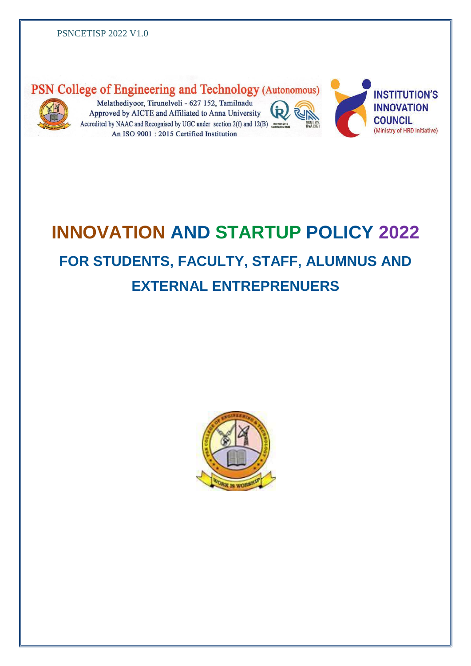

# PSN College of Engineering and Technology (Autonomous)

Melathediyoor, Tirunelveli - 627 152, Tamilnadu Approved by AICTE and Affiliated to Anna University Accredited by NAAC and Recognised by UGC under section  $2(f)$  and  $12(B)$ An ISO 9001: 2015 Certified Institution





# **INNOVATION AND STARTUP POLICY 2022 FOR STUDENTS, FACULTY, STAFF, ALUMNUS AND EXTERNAL ENTREPRENUERS**

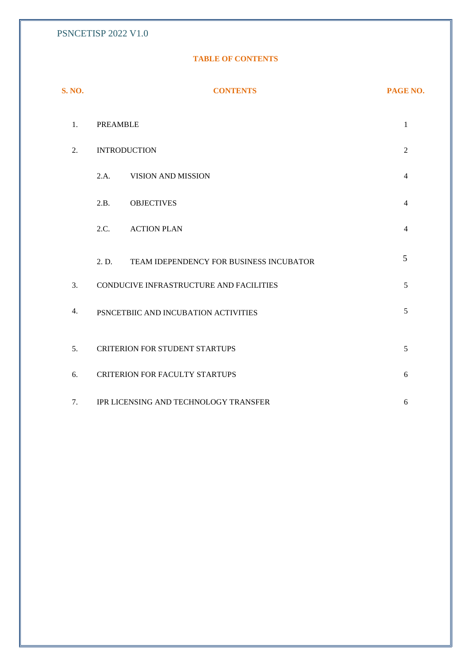#### **TABLE OF CONTENTS**

| <b>S. NO.</b> | <b>CONTENTS</b>                                  | PAGE NO.       |  |
|---------------|--------------------------------------------------|----------------|--|
| 1.            | <b>PREAMBLE</b>                                  |                |  |
| 2.            | <b>INTRODUCTION</b><br>$\overline{2}$            |                |  |
|               | 2.A.<br>VISION AND MISSION                       | $\overline{4}$ |  |
|               | 2.B.<br><b>OBJECTIVES</b>                        | $\overline{4}$ |  |
|               | 2.C.<br><b>ACTION PLAN</b>                       | $\overline{4}$ |  |
|               | TEAM IDEPENDENCY FOR BUSINESS INCUBATOR<br>2. D. | 5              |  |
| 3.            | CONDUCIVE INFRASTRUCTURE AND FACILITIES<br>5     |                |  |
| 4.            | 5<br>PSNCETBIIC AND INCUBATION ACTIVITIES        |                |  |
| 5.            | <b>CRITERION FOR STUDENT STARTUPS</b><br>5       |                |  |
| 6.            | <b>CRITERION FOR FACULTY STARTUPS</b><br>6       |                |  |
| 7.            | IPR LICENSING AND TECHNOLOGY TRANSFER<br>6       |                |  |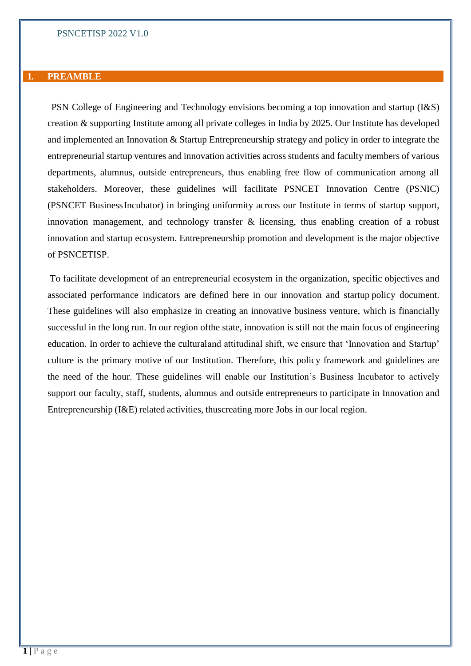#### **1. PREAMBLE**

PSN College of Engineering and Technology envisions becoming a top innovation and startup (I&S) creation & supporting Institute among all private colleges in India by 2025. Our Institute has developed and implemented an Innovation & Startup Entrepreneurship strategy and policy in order to integrate the entrepreneurial startup ventures and innovation activities across students and facultymembers of various departments, alumnus, outside entrepreneurs, thus enabling free flow of communication among all stakeholders. Moreover, these guidelines will facilitate PSNCET Innovation Centre (PSNIC) (PSNCET BusinessIncubator) in bringing uniformity across our Institute in terms of startup support, innovation management, and technology transfer & licensing, thus enabling creation of a robust innovation and startup ecosystem. Entrepreneurship promotion and development is the major objective of PSNCETISP.

To facilitate development of an entrepreneurial ecosystem in the organization, specific objectives and associated performance indicators are defined here in our innovation and startup policy document. These guidelines will also emphasize in creating an innovative business venture, which is financially successful in the long run. In our region ofthe state, innovation is still not the main focus of engineering education. In order to achieve the culturaland attitudinal shift, we ensure that 'Innovation and Startup' culture is the primary motive of our Institution. Therefore, this policy framework and guidelines are the need of the hour. These guidelines will enable our Institution's Business Incubator to actively support our faculty, staff, students, alumnus and outside entrepreneurs to participate in Innovation and Entrepreneurship (I&E) related activities, thuscreating more Jobs in our local region.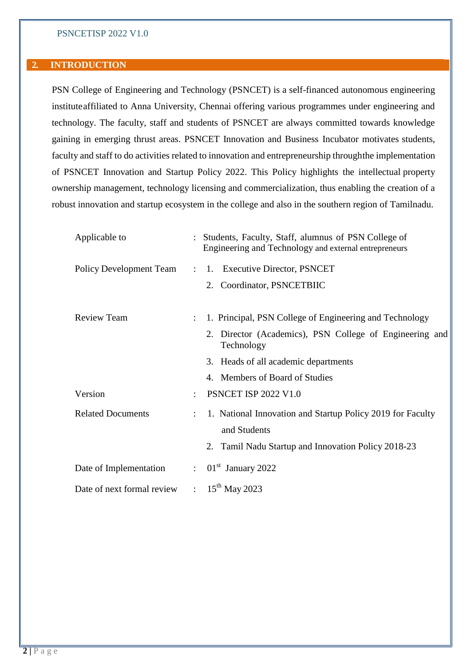#### **2. INTRODUCTION**

PSN College of Engineering and Technology (PSNCET) is a self-financed autonomous engineering instituteaffiliated to Anna University, Chennai offering various programmes under engineering and technology. The faculty, staff and students of PSNCET are always committed towards knowledge gaining in emerging thrust areas. PSNCET Innovation and Business Incubator motivates students, faculty and staff to do activities related to innovation and entrepreneurship throughthe implementation of PSNCET Innovation and Startup Policy 2022. This Policy highlights the intellectual property ownership management, technology licensing and commercialization, thus enabling the creation of a robust innovation and startup ecosystem in the college and also in the southern region of Tamilnadu.

| Applicable to              |                      | Students, Faculty, Staff, alumnus of PSN College of<br>Engineering and Technology and external entrepreneurs |
|----------------------------|----------------------|--------------------------------------------------------------------------------------------------------------|
|                            |                      | Policy Development Team : 1. Executive Director, PSNCET                                                      |
|                            |                      | 2. Coordinator, PSNCETBIIC                                                                                   |
| <b>Review Team</b>         |                      | 1. Principal, PSN College of Engineering and Technology                                                      |
|                            |                      | 2. Director (Academics), PSN College of Engineering and<br>Technology                                        |
|                            |                      | 3. Heads of all academic departments                                                                         |
|                            |                      | 4. Members of Board of Studies                                                                               |
| Version                    | $\bullet$            | <b>PSNCET ISP 2022 V1.0</b>                                                                                  |
| <b>Related Documents</b>   | $\ddot{\phantom{a}}$ | 1. National Innovation and Startup Policy 2019 for Faculty<br>and Students                                   |
|                            |                      | 2. Tamil Nadu Startup and Innovation Policy 2018-23                                                          |
| Date of Implementation     | $\mathcal{L}$        | $01st$ January 2022                                                                                          |
| Date of next formal review |                      | : $15^{th}$ May 2023                                                                                         |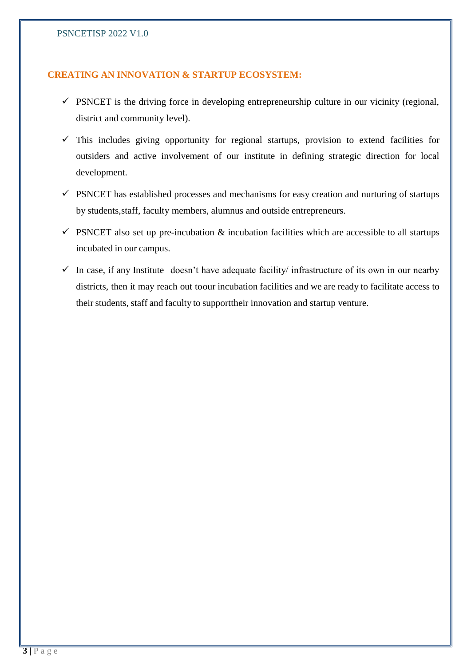# **CREATING AN INNOVATION & STARTUP ECOSYSTEM:**

- $\checkmark$  PSNCET is the driving force in developing entrepreneurship culture in our vicinity (regional, district and community level).
- $\checkmark$  This includes giving opportunity for regional startups, provision to extend facilities for outsiders and active involvement of our institute in defining strategic direction for local development.
- $\checkmark$  PSNCET has established processes and mechanisms for easy creation and nurturing of startups by students,staff, faculty members, alumnus and outside entrepreneurs.
- $\checkmark$  PSNCET also set up pre-incubation & incubation facilities which are accessible to all startups incubated in our campus.
- $\checkmark$  In case, if any Institute doesn't have adequate facility infrastructure of its own in our nearby districts, then it may reach out toour incubation facilities and we are ready to facilitate access to their students, staff and faculty to supporttheir innovation and startup venture.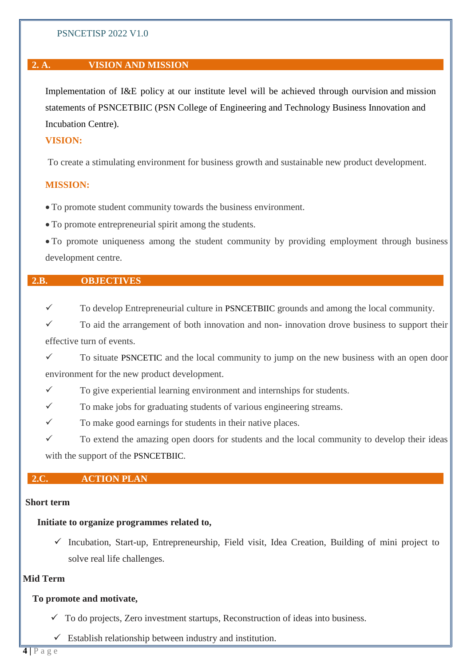# **2. A. VISION AND MISSION**

Implementation of I&E policy at our institute level will be achieved through ourvision and mission statements of PSNCETBIIC (PSN College of Engineering and Technology Business Innovation and Incubation Centre).

# **VISION:**

To create a stimulating environment for business growth and sustainable new product development.

#### **MISSION:**

To promote student community towards the business environment.

To promote entrepreneurial spirit among the students.

 To promote uniqueness among the student community by providing employment through business development centre.

#### **2.B. OBJECTIVES**

 $\checkmark$  To develop Entrepreneurial culture in PSNCETBIIC grounds and among the local community.

 To aid the arrangement of both innovation and non- innovation drove business to support their effective turn of events.

 To situate PSNCETIC and the local community to jump on the new business with an open door environment for the new product development.

 $\checkmark$  To give experiential learning environment and internships for students.

 $\checkmark$  To make jobs for graduating students of various engineering streams.

 $\checkmark$  To make good earnings for students in their native places.

 $\checkmark$  To extend the amazing open doors for students and the local community to develop their ideas with the support of the PSNCETBIIC.

# **2.C. ACTION PLAN**

#### **Short term**

#### **Initiate to organize programmes related to,**

 $\checkmark$  Incubation, Start-up, Entrepreneurship, Field visit, Idea Creation, Building of mini project to solve real life challenges.

# **Mid Term**

# **To promote and motivate,**

 $\checkmark$  To do projects, Zero investment startups, Reconstruction of ideas into business.

Establish relationship between industry and institution.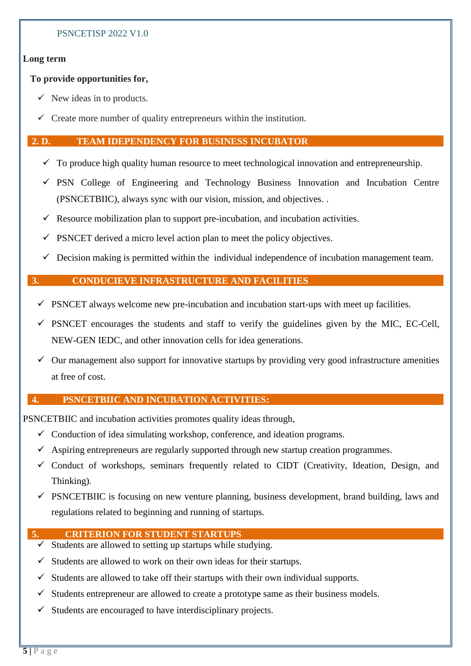# **Long term**

# **To provide opportunities for,**

- $\checkmark$  New ideas in to products.
- $\checkmark$  Create more number of quality entrepreneurs within the institution.

#### **2. D. TEAM IDEPENDENCY FOR BUSINESS INCUBATOR**

- $\checkmark$  To produce high quality human resource to meet technological innovation and entrepreneurship.
- $\checkmark$  PSN College of Engineering and Technology Business Innovation and Incubation Centre
- $\checkmark$  Resource mobilization plan to support pre-incubation, and incubation activities.

(PSNCETBIIC), always sync with our vision, mission, and objectives. .

- $\checkmark$  PSNCET derived a micro level action plan to meet the policy objectives.
- $\checkmark$  Decision making is permitted within the individual independence of incubation management team.

# **3. CONDUCIEVE INFRASTRUCTURE AND FACILITIES**

- PSNCET always welcome new pre-incubation and incubation start-ups with meet up facilities.
- $\checkmark$  PSNCET encourages the students and staff to verify the guidelines given by the MIC, EC-Cell, NEW-GEN IEDC, and other innovation cells for idea generations.
- $\checkmark$  Our management also support for innovative startups by providing very good infrastructure amenities at free of cost.

# **4. PSNCETBIIC AND INCUBATION ACTIVITIES:**

PSNCETBIIC and incubation activities promotes quality ideas through,

- $\checkmark$  Conduction of idea simulating workshop, conference, and ideation programs.
- $\checkmark$  Aspiring entrepreneurs are regularly supported through new startup creation programmes.
- $\checkmark$  Conduct of workshops, seminars frequently related to CIDT (Creativity, Ideation, Design, and Thinking).
- $\checkmark$  PSNCETBIIC is focusing on new venture planning, business development, brand building, laws and regulations related to beginning and running of startups.

# **5. CRITERION FOR STUDENT STARTUPS**

- $\checkmark$  Students are allowed to setting up startups while studying.
- $\checkmark$  Students are allowed to work on their own ideas for their startups.
- Students are allowed to take off their startups with their own individual supports.
- $\checkmark$  Students entrepreneur are allowed to create a prototype same as their business models.
- Students are encouraged to have interdisciplinary projects.